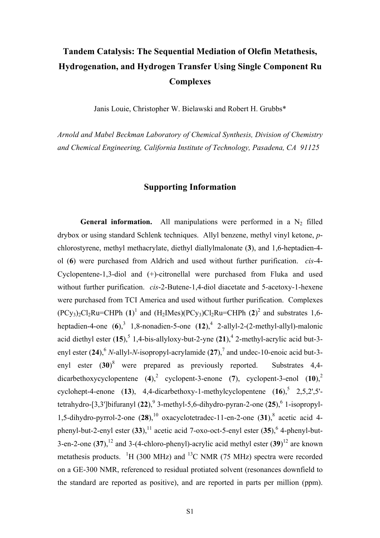## **Tandem Catalysis: The Sequential Mediation of Olefin Metathesis, Hydrogenation, and Hydrogen Transfer Using Single Component Ru Complexes**

Janis Louie, Christopher W. Bielawski and Robert H. Grubbs\*

*Arnold and Mabel Beckman Laboratory of Chemical Synthesis, Division of Chemistry and Chemical Engineering, California Institute of Technology, Pasadena, CA 91125* 

## <span id="page-0-1"></span><span id="page-0-0"></span>**Supporting Information**

<span id="page-0-5"></span><span id="page-0-4"></span><span id="page-0-3"></span><span id="page-0-2"></span>**General information.** All manipulations were performed in a  $N_2$  filled drybox or using standard Schlenk techniques. Allyl benzene, methyl vinyl ketone, *p*chlorostyrene, methyl methacrylate, diethyl diallylmalonate (**3**), and 1,6-heptadien-4 ol (**6**) were purchased from Aldrich and used without further purification. *cis*-4- Cyclopentene-1,3-diol and (+)-citronellal were purchased from Fluka and used without further purification. *cis*-2-Butene-1,4-diol diacetate and 5-acetoxy-1-hexene were purchased from TCI America and used without further purification. Complexes  $(PCy_3)_2Cl_2Ru=CHPh (1)^1$  $(PCy_3)_2Cl_2Ru=CHPh (1)^1$  $(PCy_3)_2Cl_2Ru=CHPh (1)^1$  and  $(H_2IMes)(PCy_3)Cl_2Ru=CHPh (2)^2$  $(H_2IMes)(PCy_3)Cl_2Ru=CHPh (2)^2$  $(H_2IMes)(PCy_3)Cl_2Ru=CHPh (2)^2$  and substrates 1,6-heptadien-[4](#page-11-1)-one  $(6)$ ,<sup>[3](#page-11-1)</sup> 1,8-nonadien-5-one  $(12)$ ,<sup>4</sup> 2-allyl-2- $(2$ -methyl-allyl)-malonic acid diethyl ester  $(15)$  $(15)$  $(15)$ ,  $5$  1[,4](#page-0-0)-bis-allyloxy-but-2-yne  $(21)$ ,  $4$  2-methyl-acrylic acid but-3-enyl ester (24), <sup>[6](#page-11-3)</sup> *N*-allyl-*N*-isopropyl-acrylamide (2[7](#page-11-3)), <sup>7</sup> and undec-10-enoic acid but-3enyl ester (**30**) [8](#page-11-4) were prepared as previously reported. Substrates 4,4-  $dicarbethoxycyclopentene (4),<sup>2</sup> cyclopent-3-enone (7), cyclopent-3-enol (10),<sup>2</sup>$  $dicarbethoxycyclopentene (4),<sup>2</sup> cyclopent-3-enone (7), cyclopent-3-enol (10),<sup>2</sup>$  $dicarbethoxycyclopentene (4),<sup>2</sup> cyclopent-3-enone (7), cyclopent-3-enol (10),<sup>2</sup>$  $\text{cyclohept-4-enone}$  (13), 4,4-dicarbethoxy-1-methylcyclopentene (16),  $\frac{5}{2}$  $\frac{5}{2}$  $\frac{5}{2}$ , 2,5,2',5'-tetrahydro-[3,3']bifuranyl (22),<sup>[9](#page-11-5)</sup> 3-methyl-5[,6](#page-0-3)-dihydro-pyran-2-one (25),<sup>6</sup> 1-isopropyl-1,5-dihydro-pyrrol-2-one  $(28)$  $(28)$  $(28)$ ,<sup>10</sup> oxacyclotetradec-11-en-2-one  $(31)$ ,<sup>8</sup> acetic acid 4phenyl-but-2-enyl ester  $(33)$ ,<sup>11</sup> acetic acid 7-oxo-oct-5-enyl ester  $(35)$ , <sup>6</sup> 4-phenyl-but-3-en-2-one  $(37)$ ,  $^{12}$  and 3-(4-chloro-phenyl)-acrylic acid methyl ester  $(39)$ <sup>12</sup> are known metathesis products.  ${}^{1}H$  (300 MHz) and  ${}^{13}C$  NMR (75 MHz) spectra were recorded on a GE-300 NMR, referenced to residual protiated solvent (resonances downfield to the standard are reported as positive), and are reported in parts per million (ppm).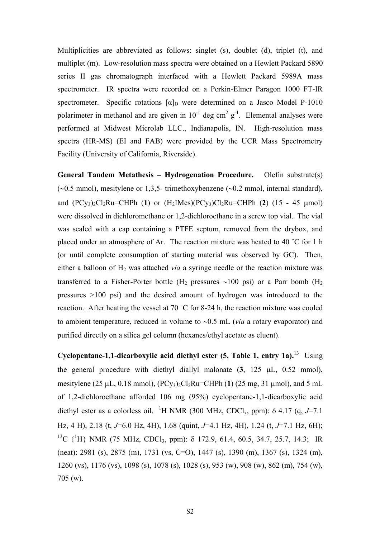Multiplicities are abbreviated as follows: singlet (s), doublet (d), triplet (t), and multiplet (m). Low-resolution mass spectra were obtained on a Hewlett Packard 5890 series II gas chromatograph interfaced with a Hewlett Packard 5989A mass spectrometer. IR spectra were recorded on a Perkin-Elmer Paragon 1000 FT-IR spectrometer. Specific rotations  $\lbrack \alpha \rbrack_D$  were determined on a Jasco Model P-1010 polarimeter in methanol and are given in  $10^{-1}$  deg cm<sup>2</sup> g<sup>-1</sup>. Elemental analyses were performed at Midwest Microlab LLC., Indianapolis, IN. High-resolution mass spectra (HR-MS) (EI and FAB) were provided by the UCR Mass Spectrometry Facility (University of California, Riverside).

**General Tandem Metathesis – Hydrogenation Procedure.** Olefin substrate(s) (∼0.5 mmol), mesitylene or 1,3,5- trimethoxybenzene (∼0.2 mmol, internal standard), and  $(PCy_3)_2C1_2Ru=CHPh (1)$  or  $(H_2Mes)(PCy_3)Cl_2Ru=CHPh (2) (15 - 45 \mu mol)$ were dissolved in dichloromethane or 1,2-dichloroethane in a screw top vial. The vial was sealed with a cap containing a PTFE septum, removed from the drybox, and placed under an atmosphere of Ar. The reaction mixture was heated to 40 ˚C for 1 h (or until complete consumption of starting material was observed by GC). Then, either a balloon of H<sub>2</sub> was attached *via* a syringe needle or the reaction mixture was transferred to a Fisher-Porter bottle (H<sub>2</sub> pressures ~100 psi) or a Parr bomb (H<sub>2</sub> pressures >100 psi) and the desired amount of hydrogen was introduced to the reaction. After heating the vessel at 70 ˚C for 8-24 h, the reaction mixture was cooled to ambient temperature, reduced in volume to ∼0.5 mL (*via* a rotary evaporator) and purified directly on a silica gel column (hexanes/ethyl acetate as eluent).

**Cyclopentane-1,1-dicarboxylic acid diethyl ester (5, Table 1, entry 1a).**[13](#page-11-9) Using the general procedure with diethyl diallyl malonate (**3**, 125 µL, 0.52 mmol), mesitylene (25  $\mu$ L, 0.18 mmol), (PCy<sub>3</sub>)<sub>2</sub>Cl<sub>2</sub>Ru=CHPh (1) (25 mg, 31  $\mu$ mol), and 5 mL of 1,2-dichloroethane afforded 106 mg (95%) cyclopentane-1,1-dicarboxylic acid diethyl ester as a colorless oil. <sup>1</sup>H NMR (300 MHz, CDCl<sub>3</sub>, ppm):  $\delta$  4.17 (q, *J*=7.1 Hz, 4 H), 2.18 (t, *J*=6.0 Hz, 4H), 1.68 (quint, *J*=4.1 Hz, 4H), 1.24 (t, *J*=7.1 Hz, 6H); <sup>13</sup>C {<sup>1</sup>H} NMR (75 MHz, CDCl<sub>3</sub>, ppm): δ 172.9, 61.4, 60.5, 34.7, 25.7, 14.3; IR (neat): 2981 (s), 2875 (m), 1731 (vs, C=O), 1447 (s), 1390 (m), 1367 (s), 1324 (m), 1260 (vs), 1176 (vs), 1098 (s), 1078 (s), 1028 (s), 953 (w), 908 (w), 862 (m), 754 (w), 705 (w).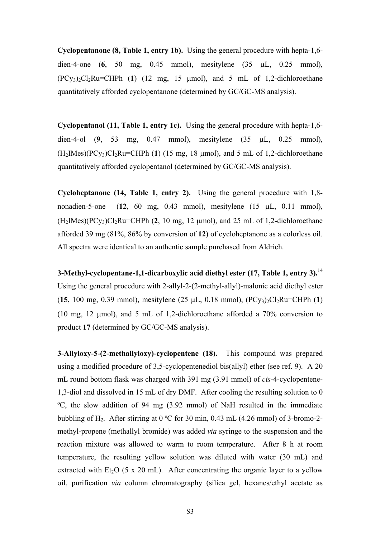**Cyclopentanone (8, Table 1, entry 1b).** Using the general procedure with hepta-1,6 dien-4-one (**6**, 50 mg, 0.45 mmol), mesitylene (35 µL, 0.25 mmol),  $(PCy_3)_2Cl_2Ru=CHPh$  (1) (12 mg, 15  $\mu$ mol), and 5 mL of 1,2-dichloroethane quantitatively afforded cyclopentanone (determined by GC/GC-MS analysis).

**Cyclopentanol (11, Table 1, entry 1c).** Using the general procedure with hepta-1,6 dien-4-ol (**9**, 53 mg, 0.47 mmol), mesitylene (35 µL, 0.25 mmol),  $(H_2IMes)(PCy_3)Cl_2Ru=CHPh (1)$  (15 mg, 18 µmol), and 5 mL of 1,2-dichloroethane quantitatively afforded cyclopentanol (determined by GC/GC-MS analysis).

**Cycloheptanone (14, Table 1, entry 2).** Using the general procedure with 1,8 nonadien-5-one (**12**, 60 mg, 0.43 mmol), mesitylene (15 µL, 0.11 mmol),  $(H_2IMes)(PC_{V_3})Cl_2Ru=CHPh (2, 10 mg, 12 mmol)$ , and 25 mL of 1,2-dichloroethane afforded 39 mg (81%, 86% by conversion of **12**) of cycloheptanone as a colorless oil. All spectra were identical to an authentic sample purchased from Aldrich.

**3-Methyl-cyclopentane-1,1-dicarboxylic acid diethyl ester (17, Table 1, entry 3).**[14](#page-11-10) Using the general procedure with 2-allyl-2-(2-methyl-allyl)-malonic acid diethyl ester  $(15, 100 \text{ mg}, 0.39 \text{ mmol})$ , mesitylene  $(25 \mu L, 0.18 \text{ mmol})$ ,  $(PCy_3)_2Cl_2Ru=CHPh (1)$ (10 mg, 12 µmol), and 5 mL of 1,2-dichloroethane afforded a 70% conversion to product **17** (determined by GC/GC-MS analysis).

**3-Allyloxy-5-(2-methallyloxy)-cyclopentene (18).** This compound was prepared using a modified procedure of 3,5-cyclopentenediol bis(allyl) ether (see ref. 9). A 20 mL round bottom flask was charged with 391 mg (3.91 mmol) of *cis*-4-cyclopentene-1,3-diol and dissolved in 15 mL of dry DMF. After cooling the resulting solution to 0 ºC, the slow addition of 94 mg (3.92 mmol) of NaH resulted in the immediate bubbling of H<sub>2</sub>. After stirring at 0 °C for 30 min, 0.43 mL (4.26 mmol) of 3-bromo-2methyl-propene (methallyl bromide) was added *via* syringe to the suspension and the reaction mixture was allowed to warm to room temperature. After 8 h at room temperature, the resulting yellow solution was diluted with water (30 mL) and extracted with Et<sub>2</sub>O (5 x 20 mL). After concentrating the organic layer to a yellow oil, purification *via* column chromatography (silica gel, hexanes/ethyl acetate as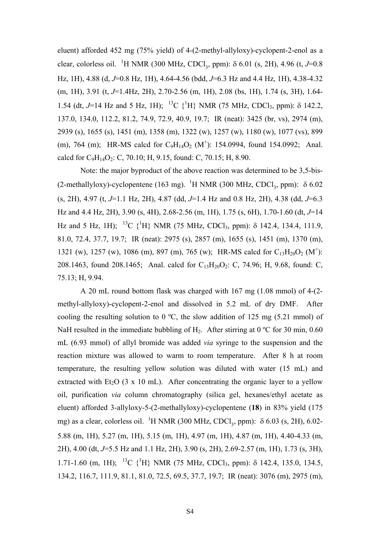eluent) afforded 452 mg (75% yield) of 4-(2-methyl-allyloxy)-cyclopent-2-enol as a clear, colorless oil. <sup>1</sup>H NMR (300 MHz, CDCl<sub>3</sub>, ppm):  $\delta$  6.01 (s, 2H), 4.96 (t, *J*=0.8 Hz, 1H), 4.88 (d, *J*=0.8 Hz, 1H), 4.64-4.56 (bdd, *J*=6.3 Hz and 4.4 Hz, 1H), 4.38-4.32 (m, 1H), 3.91 (t, *J*=1.4Hz, 2H), 2.70-2.56 (m, 1H), 2.08 (bs, 1H), 1.74 (s, 3H), 1.64- 1.54 (dt, *J*=14 Hz and 5 Hz, 1H); <sup>13</sup>C {<sup>1</sup>H} NMR (75 MHz, CDCl<sub>3</sub>, ppm): δ 142.2, 137.0, 134.0, 112.2, 81.2, 74.9, 72.9, 40.9, 19.7; IR (neat): 3425 (br, vs), 2974 (m), 2939 (s), 1655 (s), 1451 (m), 1358 (m), 1322 (w), 1257 (w), 1180 (w), 1077 (vs), 899 (m), 764 (m); HR-MS calcd for  $C_9H_{14}O_2$  (M<sup>+</sup>): 154.0994, found 154.0992; Anal. calcd for  $C_9H_{14}O_2$ : C, 70.10; H, 9.15, found: C, 70.15; H, 8.90.

Note: the major byproduct of the above reaction was determined to be 3,5-bis- (2-methallyloxy)-cyclopentene (163 mg). <sup>1</sup>H NMR (300 MHz, CDCl<sub>3</sub>, ppm):  $\delta$  6.02 (s, 2H), 4.97 (t, *J*=1.1 Hz, 2H), 4.87 (dd, *J*=1.4 Hz and 0.8 Hz, 2H), 4.38 (dd, *J*=6.3 Hz and 4.4 Hz, 2H), 3.90 (s, 4H), 2.68-2.56 (m, 1H), 1.75 (s, 6H), 1.70-1.60 (dt, *J*=14 Hz and 5 Hz, 1H); <sup>13</sup>C {<sup>1</sup>H} NMR (75 MHz, CDCl<sub>3</sub>, ppm):  $\delta$  142.4, 134.4, 111.9, 81.0, 72.4, 37.7, 19.7; IR (neat): 2975 (s), 2857 (m), 1655 (s), 1451 (m), 1370 (m), 1321 (w), 1257 (w), 1086 (m), 897 (m), 765 (w); HR-MS calcd for  $C_{13}H_{20}O_2$  (M<sup>+</sup>): 208.1463, found 208.1465; Anal. calcd for  $C_{13}H_{20}O_2$ : C, 74.96; H, 9.68, found: C, 75.13; H, 9.94.

A 20 mL round bottom flask was charged with 167 mg (1.08 mmol) of 4-(2 methyl-allyloxy)-cyclopent-2-enol and dissolved in 5.2 mL of dry DMF. After cooling the resulting solution to 0  $^{\circ}$ C, the slow addition of 125 mg (5.21 mmol) of NaH resulted in the immediate bubbling of  $H_2$ . After stirring at 0 °C for 30 min, 0.60 mL (6.93 mmol) of allyl bromide was added *via* syringe to the suspension and the reaction mixture was allowed to warm to room temperature. After 8 h at room temperature, the resulting yellow solution was diluted with water (15 mL) and extracted with Et<sub>2</sub>O (3 x 10 mL). After concentrating the organic layer to a yellow oil, purification *via* column chromatography (silica gel, hexanes/ethyl acetate as eluent) afforded 3-allyloxy-5-(2-methallyloxy)-cyclopentene (**18**) in 83% yield (175 mg) as a clear, colorless oil. <sup>1</sup>H NMR (300 MHz, CDCl<sub>3</sub>, ppm): δ 6.03 (s, 2H), 6.02-5.88 (m, 1H), 5.27 (m, 1H), 5.15 (m, 1H), 4.97 (m, 1H), 4.87 (m, 1H), 4.40-4.33 (m, 2H), 4.00 (dt, *J*=5.5 Hz and 1.1 Hz, 2H), 3.90 (s, 2H), 2.69-2.57 (m, 1H), 1.73 (s, 3H), 1.71-1.60 (m, 1H); <sup>13</sup>C {<sup>1</sup>H} NMR (75 MHz, CDCl<sub>3</sub>, ppm): δ 142.4, 135.0, 134.5, 134.2, 116.7, 111.9, 81.1, 81.0, 72.5, 69.5, 37.7, 19.7; IR (neat): 3076 (m), 2975 (m),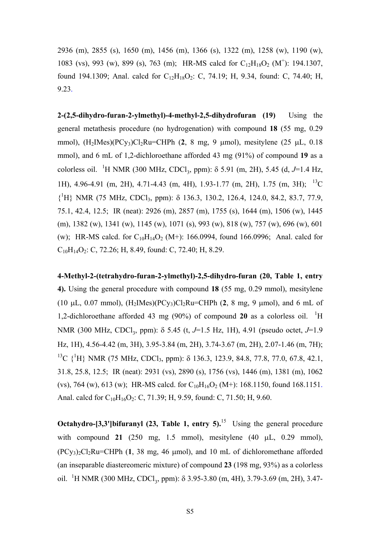2936 (m), 2855 (s), 1650 (m), 1456 (m), 1366 (s), 1322 (m), 1258 (w), 1190 (w), 1083 (vs), 993 (w), 899 (s), 763 (m); HR-MS calcd for  $C_{12}H_{18}O_2$  (M<sup>+</sup>): 194.1307, found 194.1309; Anal. calcd for  $C_{12}H_{18}O_2$ : C, 74.19; H, 9.34, found: C, 74.40; H, 9.23.

**2-(2,5-dihydro-furan-2-ylmethyl)-4-methyl-2,5-dihydrofuran (19)** Using the general metathesis procedure (no hydrogenation) with compound **18** (55 mg, 0.29 mmol),  $(H_2$ IMes $)(PCy_3)Cl_2Ru=CHPh$  (2, 8 mg, 9 µmol), mesitylene (25 µL, 0.18) mmol), and 6 mL of 1,2-dichloroethane afforded 43 mg (91%) of compound **19** as a colorless oil. <sup>1</sup>H NMR (300 MHz, CDCl<sub>3</sub>, ppm): δ 5.91 (m, 2H), 5.45 (d, *J*=1.4 Hz, 1H), 4.96-4.91 (m, 2H), 4.71-4.43 (m, 4H), 1.93-1.77 (m, 2H), 1.75 (m, 3H); 13C {1 H} NMR (75 MHz, CDCl3, ppm): δ 136.3, 130.2, 126.4, 124.0, 84.2, 83.7, 77.9, 75.1, 42.4, 12.5; IR (neat): 2926 (m), 2857 (m), 1755 (s), 1644 (m), 1506 (w), 1445 (m), 1382 (w), 1341 (w), 1145 (w), 1071 (s), 993 (w), 818 (w), 757 (w), 696 (w), 601 (w); HR-MS calcd. for  $C_{10}H_{14}O_2$  (M+): 166.0994, found 166.0996; Anal. calcd for  $C_{10}H_{14}O_2$ : C, 72.26; H, 8.49, found: C, 72.40; H, 8.29.

**4-Methyl-2-(tetrahydro-furan-2-ylmethyl)-2,5-dihydro-furan (20, Table 1, entry 4).** Using the general procedure with compound **18** (55 mg, 0.29 mmol), mesitylene (10  $\mu$ L, 0.07 mmol), (H<sub>2</sub>IMes)(PCy<sub>3</sub>)Cl<sub>2</sub>Ru=CHPh (2, 8 mg, 9  $\mu$ mol), and 6 mL of 1,2-dichloroethane afforded 43 mg (90%) of compound 20 as a colorless oil. <sup>1</sup>H NMR (300 MHz, CDCl<sub>3</sub>, ppm): δ 5.45 (t, *J*=1.5 Hz, 1H), 4.91 (pseudo octet, *J*=1.9 Hz, 1H), 4.56-4.42 (m, 3H), 3.95-3.84 (m, 2H), 3.74-3.67 (m, 2H), 2.07-1.46 (m, 7H); <sup>13</sup>C {<sup>1</sup>H} NMR (75 MHz, CDCl<sub>3</sub>, ppm): δ 136.3, 123.9, 84.8, 77.8, 77.0, 67.8, 42.1, 31.8, 25.8, 12.5; IR (neat): 2931 (vs), 2890 (s), 1756 (vs), 1446 (m), 1381 (m), 1062 (vs), 764 (w), 613 (w); HR-MS calcd. for  $C_{10}H_{16}O_2$  (M+): 168.1150, found 168.1151. Anal. calcd for  $C_{10}H_{16}O_2$ : C, 71.39; H, 9.59, found: C, 71.50; H, 9.60.

**Octahydro-[3,3']bifuranyl (23, Table 1, entry 5).**<sup>15</sup> Using the general procedure with compound **21** (250 mg, 1.5 mmol), mesitylene (40 µL, 0.29 mmol),  $(PC_{V3})_2$ Cl<sub>2</sub>Ru=CHPh (1, 38 mg, 46 µmol), and 10 mL of dichloromethane afforded (an inseparable diastereomeric mixture) of compound **23** (198 mg, 93%) as a colorless oil. <sup>1</sup>H NMR (300 MHz, CDCl<sub>3</sub>, ppm):  $\delta$  3.95-3.80 (m, 4H), 3.79-3.69 (m, 2H), 3.47-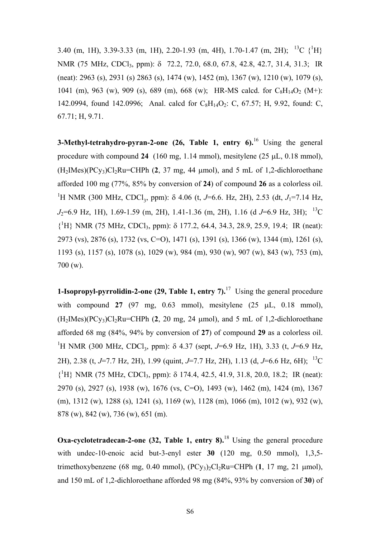3.40 (m, 1H), 3.39-3.33 (m, 1H), 2.20-1.93 (m, 4H), 1.70-1.47 (m, 2H); <sup>13</sup>C {<sup>1</sup>H} NMR (75 MHz, CDCl3, ppm): δ 72.2, 72.0, 68.0, 67.8, 42.8, 42.7, 31.4, 31.3; IR (neat): 2963 (s), 2931 (s) 2863 (s), 1474 (w), 1452 (m), 1367 (w), 1210 (w), 1079 (s), 1041 (m), 963 (w), 909 (s), 689 (m), 668 (w); HR-MS calcd. for  $C_8H_{14}O_2$  (M+): 142.0994, found 142.0996; Anal. calcd for  $C_8H_{14}O_2$ : C, 67.57; H, 9.92, found: C, 67.71; H, 9.71.

**3-Methyl-tetrahydro-pyran-2-one** (26, Table 1, entry 6).<sup>16</sup> Using the general procedure with compound **24** (160 mg, 1.14 mmol), mesitylene (25 µL, 0.18 mmol),  $(H_2IMes)(PC_{V_3})Cl_2Ru=CHPh (2, 37 mg, 44 mmol)$ , and 5 mL of 1,2-dichloroethane afforded 100 mg (77%, 85% by conversion of **24**) of compound **26** as a colorless oil. <sup>1</sup>H NMR (300 MHz, CDCl<sub>3</sub>, ppm): δ 4.06 (t, *J*=6.6. Hz, 2H), 2.53 (dt, *J*<sub>1</sub>=7.14 Hz, *J*<sub>2</sub>=6.9 Hz, 1H), 1.69-1.59 (m, 2H), 1.41-1.36 (m, 2H), 1.16 (d *J*=6.9 Hz, 3H); <sup>13</sup>C {1 H} NMR (75 MHz, CDCl3, ppm): δ 177.2, 64.4, 34.3, 28.9, 25.9, 19.4; IR (neat): 2973 (vs), 2876 (s), 1732 (vs, C=O), 1471 (s), 1391 (s), 1366 (w), 1344 (m), 1261 (s), 1193 (s), 1157 (s), 1078 (s), 1029 (w), 984 (m), 930 (w), 907 (w), 843 (w), 753 (m), 700 (w).

**1-Isopropyl-pyrrolidin-2-one (29, Table 1, entry 7).**<sup>17</sup> Using the general procedure with compound **27** (97 mg, 0.63 mmol), mesitylene (25 µL, 0.18 mmol),  $(H_2IMes)(PCy_3)Cl_2Ru=CHPh (2, 20 mg, 24 \mu mol)$ , and 5 mL of 1,2-dichloroethane afforded 68 mg (84%, 94% by conversion of **27**) of compound **29** as a colorless oil. <sup>1</sup>H NMR (300 MHz, CDCl<sub>3</sub>, ppm): δ 4.37 (sept, *J*=6.9 Hz, 1H), 3.33 (t, *J*=6.9 Hz, 2H), 2.38 (t, *J*=7.7 Hz, 2H), 1.99 (quint, *J*=7.7 Hz, 2H), 1.13 (d, *J*=6.6 Hz, 6H); 13C {<sup>1</sup>H} NMR (75 MHz, CDCl<sub>3</sub>, ppm):  $\delta$  174.4, 42.5, 41.9, 31.8, 20.0, 18.2; IR (neat): 2970 (s), 2927 (s), 1938 (w), 1676 (vs, C=O), 1493 (w), 1462 (m), 1424 (m), 1367 (m), 1312 (w), 1288 (s), 1241 (s), 1169 (w), 1128 (m), 1066 (m), 1012 (w), 932 (w), 878 (w), 842 (w), 736 (w), 651 (m).

**Oxa-cyclotetradecan-2-one (32, Table 1, entry 8).**<sup>18</sup> Using the general procedure with undec-10-enoic acid but-3-enyl ester **30** (120 mg, 0.50 mmol), 1,3,5 trimethoxybenzene (68 mg, 0.40 mmol),  $(PC_{v3})_2C_1_2Ru=CHPh (1, 17 mg, 21 \mu mol)$ , and 150 mL of 1,2-dichloroethane afforded 98 mg (84%, 93% by conversion of **30**) of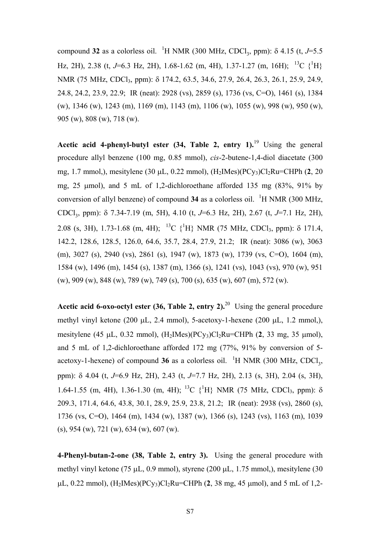compound 32 as a colorless oil. <sup>1</sup>H NMR (300 MHz, CDCl<sub>3</sub>, ppm):  $\delta$  4.15 (t, *J*=5.5 Hz, 2H), 2.38 (t, J=6.3 Hz, 2H), 1.68-1.62 (m, 4H), 1.37-1.27 (m, 16H); <sup>13</sup>C {<sup>1</sup>H} NMR (75 MHz, CDCl3, ppm): δ 174.2, 63.5, 34.6, 27.9, 26.4, 26.3, 26.1, 25.9, 24.9, 24.8, 24.2, 23.9, 22.9; IR (neat): 2928 (vs), 2859 (s), 1736 (vs, C=O), 1461 (s), 1384 (w), 1346 (w), 1243 (m), 1169 (m), 1143 (m), 1106 (w), 1055 (w), 998 (w), 950 (w), 905 (w), 808 (w), 718 (w).

**Acetic acid 4-phenyl-butyl ester (34, Table 2, entry 1).**[19](#page-11-15) Using the general procedure allyl benzene (100 mg, 0.85 mmol), *cis*-2-butene-1,4-diol diacetate (300 mg, 1.7 mmol,), mesitylene (30 μL, 0.22 mmol), (H<sub>2</sub>IMes)(PCy<sub>3</sub>)Cl<sub>2</sub>Ru=CHPh (**2**, 20 mg, 25 µmol), and 5 mL of 1,2-dichloroethane afforded 135 mg (83%, 91% by conversion of allyl benzene) of compound  $34$  as a colorless oil. <sup>1</sup>H NMR (300 MHz, CDCl3, ppm): δ 7.34-7.19 (m, 5H), 4.10 (t, *J*=6.3 Hz, 2H), 2.67 (t, *J*=7.1 Hz, 2H), 2.08 (s, 3H), 1.73-1.68 (m, 4H); <sup>13</sup>C {<sup>1</sup>H} NMR (75 MHz, CDCl<sub>3</sub>, ppm):  $\delta$  171.4, 142.2, 128.6, 128.5, 126.0, 64.6, 35.7, 28.4, 27.9, 21.2; IR (neat): 3086 (w), 3063 (m), 3027 (s), 2940 (vs), 2861 (s), 1947 (w), 1873 (w), 1739 (vs, C=O), 1604 (m), 1584 (w), 1496 (m), 1454 (s), 1387 (m), 1366 (s), 1241 (vs), 1043 (vs), 970 (w), 951 (w), 909 (w), 848 (w), 789 (w), 749 (s), 700 (s), 635 (w), 607 (m), 572 (w).

**Acetic acid 6-oxo-octyl ester (36, Table 2, entry 2).**<sup>20</sup> Using the general procedure methyl vinyl ketone (200 µL, 2.4 mmol), 5-acetoxy-1-hexene (200 µL, 1.2 mmol,), mesitylene (45  $\mu$ L, 0.32 mmol), (H<sub>2</sub>IMes)(PC<sub>V3</sub>)Cl<sub>2</sub>Ru=CHPh (2, 33 mg, 35  $\mu$ mol), and 5 mL of 1,2-dichloroethane afforded 172 mg (77%, 91% by conversion of 5 acetoxy-1-hexene) of compound  $36$  as a colorless oil. <sup>1</sup>H NMR (300 MHz, CDCl<sub>3</sub>, ppm): δ 4.04 (t, *J*=6.9 Hz, 2H), 2.43 (t, *J*=7.7 Hz, 2H), 2.13 (s, 3H), 2.04 (s, 3H), 1.64-1.55 (m, 4H), 1.36-1.30 (m, 4H); <sup>13</sup>C {<sup>1</sup>H} NMR (75 MHz, CDCl<sub>3</sub>, ppm): δ 209.3, 171.4, 64.6, 43.8, 30.1, 28.9, 25.9, 23.8, 21.2; IR (neat): 2938 (vs), 2860 (s), 1736 (vs, C=O), 1464 (m), 1434 (w), 1387 (w), 1366 (s), 1243 (vs), 1163 (m), 1039 (s), 954 (w), 721 (w), 634 (w), 607 (w).

**4-Phenyl-butan-2-one (38, Table 2, entry 3).** Using the general procedure with methyl vinyl ketone (75 µL, 0.9 mmol), styrene (200 µL, 1.75 mmol,), mesitylene (30  $\mu$ L, 0.22 mmol), (H<sub>2</sub>IMes)(PC<sub>Y3</sub>)Cl<sub>2</sub>Ru=CHPh (2, 38 mg, 45  $\mu$ mol), and 5 mL of 1,2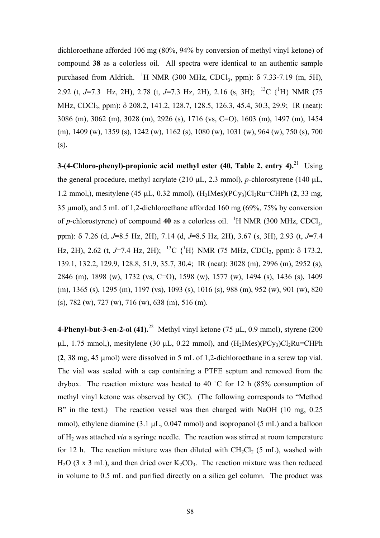dichloroethane afforded 106 mg (80%, 94% by conversion of methyl vinyl ketone) of compound **38** as a colorless oil. All spectra were identical to an authentic sample purchased from Aldrich. <sup>1</sup>H NMR (300 MHz, CDCl<sub>3</sub>, ppm):  $\delta$  7.33-7.19 (m, 5H), 2.92 (t, J=7.3 Hz, 2H), 2.78 (t, J=7.3 Hz, 2H), 2.16 (s, 3H); <sup>13</sup>C {<sup>1</sup>H} NMR (75 MHz, CDCl<sub>3</sub>, ppm): δ 208.2, 141.2, 128.7, 128.5, 126.3, 45.4, 30.3, 29.9; IR (neat): 3086 (m), 3062 (m), 3028 (m), 2926 (s), 1716 (vs, C=O), 1603 (m), 1497 (m), 1454 (m), 1409 (w), 1359 (s), 1242 (w), 1162 (s), 1080 (w), 1031 (w), 964 (w), 750 (s), 700 (s).

**3-(4-Chloro-phenyl)-propionic acid methyl ester (40, Table 2, entry 4).**[21](#page-11-17) Using the general procedure, methyl acrylate (210 µL, 2.3 mmol), *p*-chlorostyrene (140 µL, 1.2 mmol,), mesitylene (45  $\mu$ L, 0.32 mmol), (H<sub>2</sub>IMes)(PC<sub>y3</sub>)Cl<sub>2</sub>Ru=CHPh (2, 33 mg, 35 µmol), and 5 mL of 1,2-dichloroethane afforded 160 mg (69%, 75% by conversion of *p*-chlorostyrene) of compound 40 as a colorless oil. <sup>1</sup>H NMR (300 MHz, CDCl<sub>3</sub>, ppm): δ 7.26 (d, *J*=8.5 Hz, 2H), 7.14 (d, *J*=8.5 Hz, 2H), 3.67 (s, 3H), 2.93 (t, *J*=7.4 Hz, 2H), 2.62 (t, J=7.4 Hz, 2H); <sup>13</sup>C {<sup>1</sup>H} NMR (75 MHz, CDCl<sub>3</sub>, ppm): δ 173.2, 139.1, 132.2, 129.9, 128.8, 51.9, 35.7, 30.4; IR (neat): 3028 (m), 2996 (m), 2952 (s), 2846 (m), 1898 (w), 1732 (vs, C=O), 1598 (w), 1577 (w), 1494 (s), 1436 (s), 1409 (m), 1365 (s), 1295 (m), 1197 (vs), 1093 (s), 1016 (s), 988 (m), 952 (w), 901 (w), 820 (s), 782 (w), 727 (w), 716 (w), 638 (m), 516 (m).

**4-Phenyl-but-3-en-2-ol (41).**<sup>22</sup> Methyl vinyl ketone (75  $\mu$ L, 0.9 mmol), styrene (200)  $\mu$ L, 1.75 mmol,), mesitylene (30  $\mu$ L, 0.22 mmol), and (H<sub>2</sub>IMes)(PCy<sub>3</sub>)Cl<sub>2</sub>Ru=CHPh (**2**, 38 mg, 45 µmol) were dissolved in 5 mL of 1,2-dichloroethane in a screw top vial. The vial was sealed with a cap containing a PTFE septum and removed from the drybox. The reaction mixture was heated to 40 ˚C for 12 h (85% consumption of methyl vinyl ketone was observed by GC). (The following corresponds to "Method B" in the text.) The reaction vessel was then charged with NaOH (10 mg, 0.25) mmol), ethylene diamine  $(3.1 \mu L, 0.047 \text{ mmol})$  and isopropanol  $(5 \text{ mL})$  and a balloon of H2 was attached *via* a syringe needle. The reaction was stirred at room temperature for 12 h. The reaction mixture was then diluted with  $CH_2Cl_2$  (5 mL), washed with  $H<sub>2</sub>O$  (3 x 3 mL), and then dried over  $K<sub>2</sub>CO<sub>3</sub>$ . The reaction mixture was then reduced in volume to 0.5 mL and purified directly on a silica gel column. The product was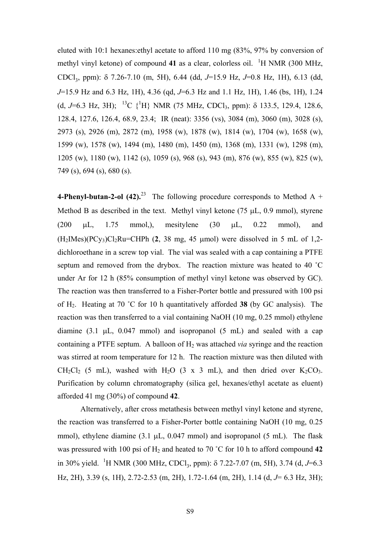eluted with 10:1 hexanes:ethyl acetate to afford 110 mg (83%, 97% by conversion of methyl vinyl ketone) of compound 41 as a clear, colorless oil. <sup>1</sup>H NMR (300 MHz, CDCl3, ppm): δ 7.26-7.10 (m, 5H), 6.44 (dd, *J*=15.9 Hz, *J*=0.8 Hz, 1H), 6.13 (dd, *J*=15.9 Hz and 6.3 Hz, 1H), 4.36 (qd, *J*=6.3 Hz and 1.1 Hz, 1H), 1.46 (bs, 1H), 1.24 (d, J=6.3 Hz, 3H); <sup>13</sup>C {<sup>1</sup>H} NMR (75 MHz, CDCl<sub>3</sub>, ppm):  $\delta$  133.5, 129.4, 128.6, 128.4, 127.6, 126.4, 68.9, 23.4; IR (neat): 3356 (vs), 3084 (m), 3060 (m), 3028 (s), 2973 (s), 2926 (m), 2872 (m), 1958 (w), 1878 (w), 1814 (w), 1704 (w), 1658 (w), 1599 (w), 1578 (w), 1494 (m), 1480 (m), 1450 (m), 1368 (m), 1331 (w), 1298 (m), 1205 (w), 1180 (w), 1142 (s), 1059 (s), 968 (s), 943 (m), 876 (w), 855 (w), 825 (w), 749 (s), 694 (s), 680 (s).

**4-Phenyl-butan-2-ol (42).**<sup>23</sup> The following procedure corresponds to Method A + Method B as described in the text. Methyl vinyl ketone  $(75 \mu L, 0.9 \text{ mmol})$ , styrene (200  $\mu$ L, 1.75 mmol,), mesitylene (30  $\mu$ L, 0.22 mmol), and  $(H_2$ IMes $)(PCy_3)Cl_2Ru=CHPh$  (2, 38 mg, 45 µmol) were dissolved in 5 mL of 1,2dichloroethane in a screw top vial. The vial was sealed with a cap containing a PTFE septum and removed from the drybox. The reaction mixture was heated to 40 ˚C under Ar for 12 h (85% consumption of methyl vinyl ketone was observed by GC). The reaction was then transferred to a Fisher-Porter bottle and pressured with 100 psi of H2. Heating at 70 ˚C for 10 h quantitatively afforded **38** (by GC analysis). The reaction was then transferred to a vial containing NaOH (10 mg, 0.25 mmol) ethylene diamine  $(3.1 \mu L, 0.047 \text{ mmol})$  and isopropanol  $(5 \text{ mL})$  and sealed with a cap containing a PTFE septum. A balloon of  $H_2$  was attached *via* syringe and the reaction was stirred at room temperature for 12 h. The reaction mixture was then diluted with  $CH_2Cl_2$  (5 mL), washed with H<sub>2</sub>O (3 x 3 mL), and then dried over K<sub>2</sub>CO<sub>3</sub>. Purification by column chromatography (silica gel, hexanes/ethyl acetate as eluent) afforded 41 mg (30%) of compound **42**.

Alternatively, after cross metathesis between methyl vinyl ketone and styrene, the reaction was transferred to a Fisher-Porter bottle containing NaOH (10 mg, 0.25 mmol), ethylene diamine  $(3.1 \mu L, 0.047 \text{ mmol})$  and isopropanol  $(5 \text{ mL})$ . The flask was pressured with 100 psi of H<sub>2</sub> and heated to 70 °C for 10 h to afford compound 42 in 30% yield. <sup>1</sup>H NMR (300 MHz, CDCl<sub>3</sub>, ppm): δ 7.22-7.07 (m, 5H), 3.74 (d, *J*=6.3 Hz, 2H), 3.39 (s, 1H), 2.72-2.53 (m, 2H), 1.72-1.64 (m, 2H), 1.14 (d, *J*= 6.3 Hz, 3H);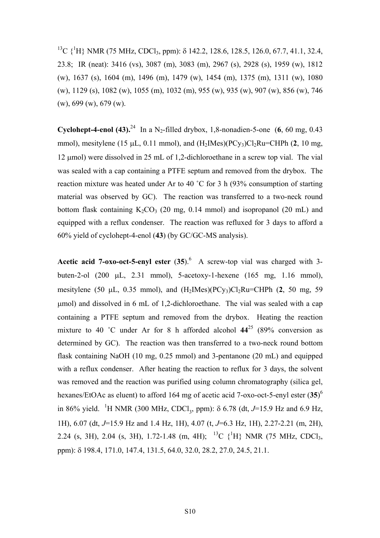<sup>13</sup>C {<sup>1</sup>H} NMR (75 MHz, CDCl<sub>3</sub>, ppm): δ 142.2, 128.6, 128.5, 126.0, 67.7, 41.1, 32.4, 23.8; IR (neat): 3416 (vs), 3087 (m), 3083 (m), 2967 (s), 2928 (s), 1959 (w), 1812 (w), 1637 (s), 1604 (m), 1496 (m), 1479 (w), 1454 (m), 1375 (m), 1311 (w), 1080 (w), 1129 (s), 1082 (w), 1055 (m), 1032 (m), 955 (w), 935 (w), 907 (w), 856 (w), 746 (w), 699 (w), 679 (w).

**Cyclohept-4-enol (43).<sup>24</sup>** In a N<sub>2</sub>-filled drybox, 1,8-nonadien-5-one (6, 60 mg, 0.43) mmol), mesitylene (15  $\mu$ L, 0.11 mmol), and  $(H_2$ IMes $)(PCy_3)Cl_2Ru=CHPh$  (2, 10 mg, 12 µmol) were dissolved in 25 mL of 1,2-dichloroethane in a screw top vial. The vial was sealed with a cap containing a PTFE septum and removed from the drybox. The reaction mixture was heated under Ar to 40 ˚C for 3 h (93% consumption of starting material was observed by GC). The reaction was transferred to a two-neck round bottom flask containing  $K_2CO_3$  (20 mg, 0.14 mmol) and isopropanol (20 mL) and equipped with a reflux condenser. The reaction was refluxed for 3 days to afford a 60% yield of cyclohept-4-enol (**43**) (by GC/GC-MS analysis).

**Acetic acid 7-oxo-oct-5-enyl ester (35).**<sup>[6](#page-0-3)</sup> A screw-top vial was charged with 3buten-2-ol (200 µL, 2.31 mmol), 5-acetoxy-1-hexene (165 mg, 1.16 mmol), mesitylene (50  $\mu$ L, 0.35 mmol), and  $(H_2$ IMes $)(PCy_3)Cl_2Ru=CHPh$  (2, 50 mg, 59 µmol) and dissolved in 6 mL of 1,2-dichloroethane. The vial was sealed with a cap containing a PTFE septum and removed from the drybox. Heating the reaction mixture to 40 °C under Ar for 8 h afforded alcohol  $44^{25}$  (89% conversion as determined by GC). The reaction was then transferred to a two-neck round bottom flask containing NaOH (10 mg, 0.25 mmol) and 3-pentanone (20 mL) and equipped with a reflux condenser. After heating the reaction to reflux for 3 days, the solvent was removed and the reaction was purified using column chromatography (silica gel, hexanes/EtOAc as eluent) to afford 164 mg of acetic acid 7-oxo-oct-5-enyl ester (**35**) [6](#page-0-3) in 86% yield. <sup>1</sup>H NMR (300 MHz, CDCl<sub>3</sub>, ppm):  $\delta$  6.78 (dt, *J*=15.9 Hz and 6.9 Hz, 1H), 6.07 (dt, *J*=15.9 Hz and 1.4 Hz, 1H), 4.07 (t, *J*=6.3 Hz, 1H), 2.27-2.21 (m, 2H), 2.24 (s, 3H), 2.04 (s, 3H), 1.72-1.48 (m, 4H); <sup>13</sup>C {<sup>1</sup>H} NMR (75 MHz, CDCl<sub>3</sub>, ppm): δ 198.4, 171.0, 147.4, 131.5, 64.0, 32.0, 28.2, 27.0, 24.5, 21.1.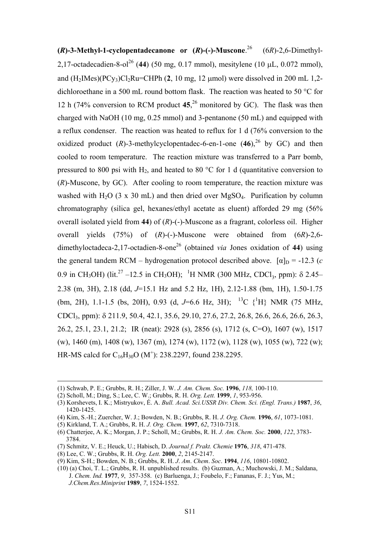<span id="page-10-0"></span>**(***R***)-3-Methyl-1-cyclopentadecanone or (***R***)-(-)-Muscone**. [26](#page-11-22) (6*R*)-2,6-Dimethyl-2,17-octadecadien-8-ol<sup>26</sup> (44) (50 mg, 0.17 mmol), mesitylene (10 µL, 0.072 mmol), and  $(H_2Mes)(PCy_3)Cl_2Ru=CHPh (2, 10 mg, 12 \mu mol)$  were dissolved in 200 mL 1,2dichloroethane in a 500 mL round bottom flask. The reaction was heated to 50 °C for 12 h (74% conversion to RCM product **45**, [26](#page-10-0) monitored by GC). The flask was then charged with NaOH (10 mg, 0.25 mmol) and 3-pentanone (50 mL) and equipped with a reflux condenser. The reaction was heated to reflux for 1 d (76% conversion to the oxidized product  $(R)$ -3-methylcyclopentadec-6-en-1-one  $(46)$ <sup>26</sup> by GC) and then cooled to room temperature. The reaction mixture was transferred to a Parr bomb, pressured to 800 psi with  $H_2$ , and heated to 80 °C for 1 d (quantitative conversion to (*R*)-Muscone, by GC). After cooling to room temperature, the reaction mixture was washed with H<sub>2</sub>O (3 x 30 mL) and then dried over MgSO<sub>4</sub>. Purification by column chromatography (silica gel, hexanes/ethyl acetate as eluent) afforded 29 mg (56% overall isolated yield from **44**) of (*R*)-(-)-Muscone as a fragrant, colorless oil. Higher overall yields (75%) of (*R*)-(-)-Muscone were obtained from (6*R*)-2,6 dimethyloctadeca-2,17-octadien-8-one[26](#page-10-0) (obtained *via* Jones oxidation of **44**) using the general tandem RCM – hydrogenation protocol described above.  $[\alpha]_D = -12.3$  (*c* 0.9 in CH<sub>3</sub>OH) (lit.<sup>27</sup> –12.5 in CH<sub>3</sub>OH); <sup>1</sup>H NMR (300 MHz, CDCl<sub>3</sub>, ppm): δ 2.45– 2.38 (m, 3H), 2.18 (dd, *J*=15.1 Hz and 5.2 Hz, 1H), 2.12-1.88 (bm, 1H), 1.50-1.75 (bm, 2H), 1.1-1.5 (bs, 20H), 0.93 (d, J=6.6 Hz, 3H); <sup>13</sup>C {<sup>1</sup>H} NMR (75 MHz, CDCl3, ppm): δ 211.9, 50.4, 42.1, 35.6, 29.10, 27.6, 27.2, 26.8, 26.6, 26.6, 26.6, 26.3, 26.2, 25.1, 23.1, 21.2; IR (neat): 2928 (s), 2856 (s), 1712 (s, C=O), 1607 (w), 1517 (w), 1460 (m), 1408 (w), 1367 (m), 1274 (w), 1172 (w), 1128 (w), 1055 (w), 722 (w); HR-MS calcd for  $C_{16}H_{30}O (M^+)$ : 238.2297, found 238.2295.

(8) Lee, C. W.; Grubbs, R. H. *Org. Lett.* **2000**, *2*, 2145-2147.

l

<sup>(1)</sup> Schwab, P. E.; Grubbs, R. H.; Ziller, J. W. *J. Am. Chem. Soc.* **1996**, *118,* 100-110.

<sup>(2)</sup> Scholl, M.; Ding, S.; Lee, C. W.; Grubbs, R. H. *Org. Lett.* **1999**, *1*, 953-956.

<sup>(3)</sup> Korshevets, I. K.; Mistryukov, É. A. *Bull. Acad. Sci.USSR Div. Chem. Sci. (Engl. Trans.)* **1987**, *36*, 1420-1425.

<sup>(4)</sup> Kim, S.-H.; Zuercher, W. J.; Bowden, N. B.; Grubbs, R. H. *J. Org. Chem.* **1996**, *61*, 1073-1081.

<sup>(5)</sup> Kirkland, T. A.; Grubbs, R. H. *J. Org. Chem.* **1997**, *62*, 7310-7318.

<sup>(6)</sup> Chatterjee, A. K.; Morgan, J. P.; Scholl, M.; Grubbs, R. H. *J. Am. Chem. Soc.* **2000**, *122*, 3783- 3784.

<sup>(7)</sup> Schmitz, V. E.; Heuck, U.; Habisch, D. *Journal f. Prakt. Chemie* **1976**, *318*, 471-478.

<sup>(9)</sup> Kim, S-H.; Bowden, N. B.; Grubbs, R. H. *J*. *Am*. *Chem*. *Soc*. **1994**, *116*, 10801-10802.

<sup>(10) (</sup>a) Choi, T. L.; Grubbs, R. H. unpublished results. (b) Guzman, A.; Muchowski, J. M.; Saldana, J. *Chem. Ind.* **1977**, *9*, 357-358. (c) Barluenga, J.; Foubelo, F.; Fananas, F. J.; Yus, M.; *J.Chem.Res.Miniprint* **1989**, *7*, 1524-1552.